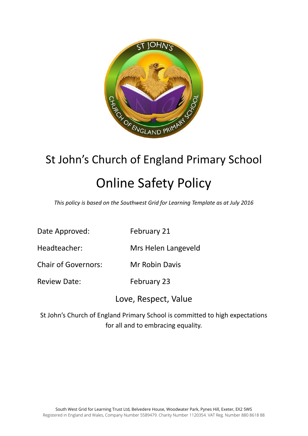

# St John's Church of England Primary School Online Safety Policy

*This policy is based on the Southwest Grid for Learning Template as at July 2016*

| Date Approved: | February 21 |
|----------------|-------------|
|----------------|-------------|

Headteacher: Mrs Helen Langeveld

Chair of Governors: Mr Robin Davis

Review Date: February 23

Love, Respect, Value

St John's Church of England Primary School is committed to high expectations for all and to embracing equality.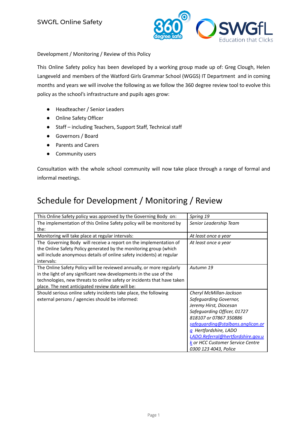

Development / Monitoring / Review of this Policy

This Online Safety policy has been developed by a working group made up of: Greg Clough, Helen Langeveld and members of the Watford Girls Grammar School (WGGS) IT Department and in coming months and years we will involve the following as we follow the 360 degree review tool to evolve this policy as the school's infrastructure and pupils ages grow:

- Headteacher / Senior Leaders
- Online Safety Officer
- Staff including Teachers, Support Staff, Technical staff
- Governors / Board
- Parents and Carers
- Community users

Consultation with the whole school community will now take place through a range of formal and informal meetings.

# Schedule for Development / Monitoring / Review

| This Online Safety policy was approved by the Governing Body on:                                                                                                                                                                                                           | Spring 19                                                                                                                                                                                                                                                                                            |
|----------------------------------------------------------------------------------------------------------------------------------------------------------------------------------------------------------------------------------------------------------------------------|------------------------------------------------------------------------------------------------------------------------------------------------------------------------------------------------------------------------------------------------------------------------------------------------------|
| The implementation of this Online Safety policy will be monitored by<br>the:                                                                                                                                                                                               | Senior Leadership Team                                                                                                                                                                                                                                                                               |
| Monitoring will take place at regular intervals:                                                                                                                                                                                                                           | At least once a year                                                                                                                                                                                                                                                                                 |
| The Governing Body will receive a report on the implementation of<br>the Online Safety Policy generated by the monitoring group (which<br>will include anonymous details of online safety incidents) at regular<br>intervals:                                              | At least once a year                                                                                                                                                                                                                                                                                 |
| The Online Safety Policy will be reviewed annually, or more regularly<br>in the light of any significant new developments in the use of the<br>technologies, new threats to online safety or incidents that have taken<br>place. The next anticipated review date will be: | Autumn 19                                                                                                                                                                                                                                                                                            |
| Should serious online safety incidents take place, the following<br>external persons / agencies should be informed:                                                                                                                                                        | Cheryl McMillan-Jackson<br>Safeguarding Governor,<br>Jeremy Hirst, Diocesan<br>Safeguarding Officer, 01727<br>818107 or 07867 350886<br>safequarding@stalbans.anglican.or<br>q Hertfordshire, LADO<br>LADO.Referral@hertfordshire.gov.u<br>k or HCC Customer Service Centre<br>0300 123 4043, Police |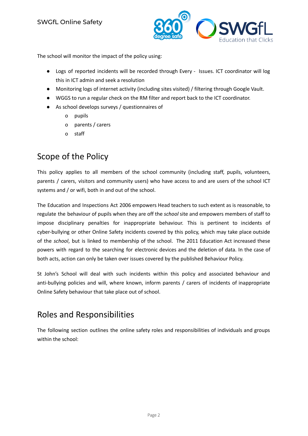

The school will monitor the impact of the policy using:

- Logs of reported incidents will be recorded through Every Issues. ICT coordinator will log this in ICT admin and seek a resolution
- Monitoring logs of internet activity (including sites visited) / filtering through Google Vault.
- WGGS to run a regular check on the RM filter and report back to the ICT coordinator.
- As school develops surveys / questionnaires of
	- o pupils
	- o parents / carers
	- o staff

### Scope of the Policy

This policy applies to all members of the school community (including staff, pupils, volunteers, parents / carers, visitors and community users) who have access to and are users of the school ICT systems and / or wifi, both in and out of the school.

The Education and Inspections Act 2006 empowers Head teachers to such extent as is reasonable, to regulate the behaviour of pupils when they are off the *school* site and empowers members of staff to impose disciplinary penalties for inappropriate behaviour. This is pertinent to incidents of cyber-bullying or other Online Safety incidents covered by this policy, which may take place outside of the *school*, but is linked to membership of the school. The 2011 Education Act increased these powers with regard to the searching for electronic devices and the deletion of data. In the case of both acts, action can only be taken over issues covered by the published Behaviour Policy.

St John's School will deal with such incidents within this policy and associated behaviour and anti-bullying policies and will, where known, inform parents / carers of incidents of inappropriate Online Safety behaviour that take place out of school.

# Roles and Responsibilities

The following section outlines the online safety roles and responsibilities of individuals and groups within the school: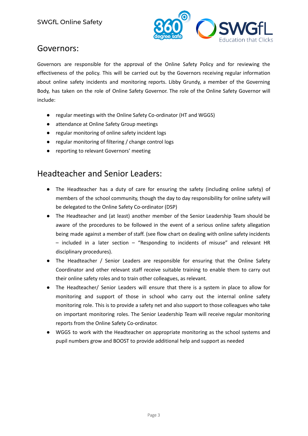

#### Governors:

Governors are responsible for the approval of the Online Safety Policy and for reviewing the effectiveness of the policy. This will be carried out by the Governors receiving regular information about online safety incidents and monitoring reports. Libby Grundy, a member of the Governing Body, has taken on the role of Online Safety Governor. The role of the Online Safety Governor will include:

- regular meetings with the Online Safety Co-ordinator (HT and WGGS)
- attendance at Online Safety Group meetings
- regular monitoring of online safety incident logs
- regular monitoring of filtering / change control logs
- reporting to relevant Governors' meeting

#### Headteacher and Senior Leaders:

- The Headteacher has a duty of care for ensuring the safety (including online safety) of members of the school community, though the day to day responsibility for online safety will be delegated to the Online Safety Co-ordinator (DSP)
- The Headteacher and (at least) another member of the Senior Leadership Team should be aware of the procedures to be followed in the event of a serious online safety allegation being made against a member of staff. (see flow chart on dealing with online safety incidents – included in a later section – "Responding to incidents of misuse" and relevant HR disciplinary procedures).
- The Headteacher / Senior Leaders are responsible for ensuring that the Online Safety Coordinator and other relevant staff receive suitable training to enable them to carry out their online safety roles and to train other colleagues, as relevant*.*
- The Headteacher/ Senior Leaders will ensure that there is a system in place to allow for monitoring and support of those in school who carry out the internal online safety monitoring role. This is to provide a safety net and also support to those colleagues who take on important monitoring roles. The Senior Leadership Team will receive regular monitoring reports from the Online Safety Co-ordinator.
- WGGS to work with the Headteacher on appropriate monitoring as the school systems and pupil numbers grow and BOOST to provide additional help and support as needed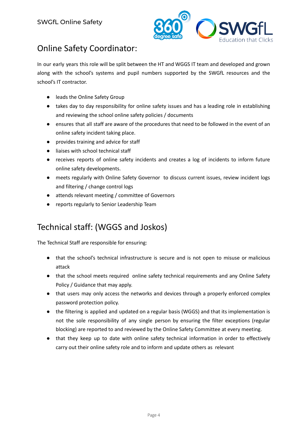

# Online Safety Coordinator:

In our early years this role will be split between the HT and WGGS IT team and developed and grown along with the school's systems and pupil numbers supported by the SWGfL resources and the school's IT contractor.

- leads the Online Safety Group
- takes day to day responsibility for online safety issues and has a leading role in establishing and reviewing the school online safety policies / documents
- ensures that all staff are aware of the procedures that need to be followed in the event of an online safety incident taking place.
- provides training and advice for staff
- liaises with school technical staff
- receives reports of online safety incidents and creates a log of incidents to inform future online safety developments.
- meets regularly with Online Safety Governor to discuss current issues, review incident logs and filtering / change control logs
- attends relevant meeting / committee of Governors
- reports regularly to Senior Leadership Team

# Technical staff: (WGGS and Joskos)

The Technical Staff are responsible for ensuring:

- **●** that the school's technical infrastructure is secure and is not open to misuse or malicious attack
- **●** that the school meets required online safety technical requirements and any Online Safety Policy / Guidance that may apply.
- **●** that users may only access the networks and devices through a properly enforced complex password protection policy.
- the filtering is applied and updated on a regular basis (WGGS) and that its implementation is not the sole responsibility of any single person by ensuring the filter exceptions (regular blocking) are reported to and reviewed by the Online Safety Committee at every meeting.
- that they keep up to date with online safety technical information in order to effectively carry out their online safety role and to inform and update others as relevant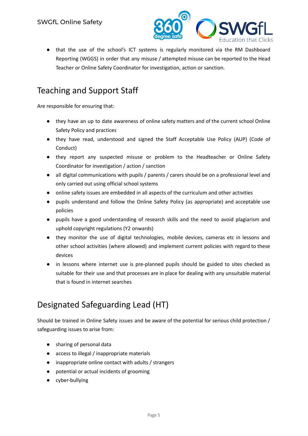

● that the use of the school's ICT systems is regularly monitored via the RM Dashboard Reporting (WGGS) in order that any misuse / attempted misuse can be reported to the Head Teacher or Online Safety Coordinator for investigation, action or sanction.

# Teaching and Support Staff

Are responsible for ensuring that:

- **●** they have an up to date awareness of online safety matters and of the current school Online Safety Policy and practices
- **●** they have read, understood and signed the Staff Acceptable Use Policy (AUP) (Code of Conduct)
- **●** they report any suspected misuse or problem to the Headteacher or Online Safety Coordinator for investigation / action / sanction
- **●** all digital communications with pupils / parents / carers should be on a professional level and only carried out using official school systems
- online safety issues are embedded in all aspects of the curriculum and other activities
- pupils understand and follow the Online Safety Policy (as appropriate) and acceptable use policies
- pupils have a good understanding of research skills and the need to avoid plagiarism and uphold copyright regulations (Y2 onwards)
- they monitor the use of digital technologies, mobile devices, cameras etc in lessons and other school activities (where allowed) and implement current policies with regard to these devices
- in lessons where internet use is pre-planned pupils should be guided to sites checked as suitable for their use and that processes are in place for dealing with any unsuitable material that is found in internet searches

# Designated Safeguarding Lead (HT)

Should be trained in Online Safety issues and be aware of the potential for serious child protection / safeguarding issues to arise from:

- sharing of personal data
- access to illegal / inappropriate materials
- inappropriate online contact with adults / strangers
- potential or actual incidents of grooming
- cyber-bullying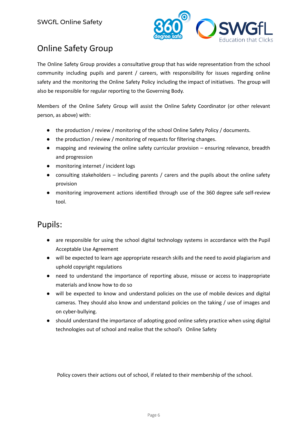

# Online Safety Group

The Online Safety Group provides a consultative group that has wide representation from the school community including pupils and parent / careers, with responsibility for issues regarding online safety and the monitoring the Online Safety Policy including the impact of initiatives. The group will also be responsible for regular reporting to the Governing Body.

Members of the Online Safety Group will assist the Online Safety Coordinator (or other relevant person, as above) with:

- the production / review / monitoring of the school Online Safety Policy / documents.
- the production / review / monitoring of requests for filtering changes.
- mapping and reviewing the online safety curricular provision ensuring relevance, breadth and progression
- monitoring internet / incident logs
- consulting stakeholders including parents / carers and the pupils about the online safety provision
- monitoring improvement actions identified through use of the 360 degree safe self-review tool.

#### Pupils:

- are responsible for using the school digital technology systems in accordance with the Pupil Acceptable Use Agreement
- will be expected to learn age appropriate research skills and the need to avoid plagiarism and uphold copyright regulations
- need to understand the importance of reporting abuse, misuse or access to inappropriate materials and know how to do so
- will be expected to know and understand policies on the use of mobile devices and digital cameras. They should also know and understand policies on the taking / use of images and on cyber-bullying.
- should understand the importance of adopting good online safety practice when using digital technologies out of school and realise that the school's Online Safety

Policy covers their actions out of school, if related to their membership of the school.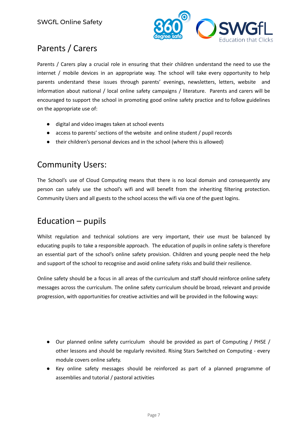

# Parents / Carers

Parents / Carers play a crucial role in ensuring that their children understand the need to use the internet / mobile devices in an appropriate way. The school will take every opportunity to help parents understand these issues through parents' evenings, newsletters, letters, website and information about national / local online safety campaigns / literature. Parents and carers will be encouraged to support the school in promoting good online safety practice and to follow guidelines on the appropriate use of:

- digital and video images taken at school events
- access to parents' sections of the website and online student / pupil records
- their children's personal devices and in the school (where this is allowed)

#### Community Users:

The School's use of Cloud Computing means that there is no local domain and consequently any person can safely use the school's wifi and will benefit from the inheriting filtering protection. Community Users and all guests to the school access the wifi via one of the guest logins.

# Education – pupils

Whilst regulation and technical solutions are very important, their use must be balanced by educating pupils to take a responsible approach. The education of pupils in online safety is therefore an essential part of the school's online safety provision. Children and young people need the help and support of the school to recognise and avoid online safety risks and build their resilience.

Online safety should be a focus in all areas of the curriculum and staff should reinforce online safety messages across the curriculum. The online safety curriculum should be broad, relevant and provide progression, with opportunities for creative activities and will be provided in the following ways:

- Our planned online safety curriculum should be provided as part of Computing / PHSE / other lessons and should be regularly revisited. Rising Stars Switched on Computing - every module covers online safety.
- Key online safety messages should be reinforced as part of a planned programme of assemblies and tutorial / pastoral activities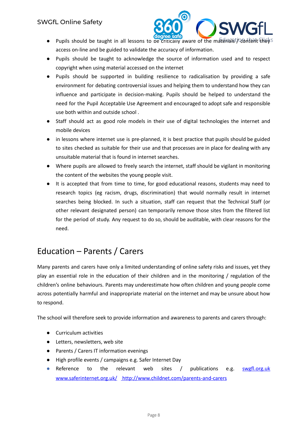

- Pupils should be taught in all lessons to be critically aware of the materials  $\sqrt{2}$  refers the  $\sqrt{6}$ access on-line and be guided to validate the accuracy of information.
- Pupils should be taught to acknowledge the source of information used and to respect copyright when using material accessed on the internet
- Pupils should be supported in building resilience to radicalisation by providing a safe environment for debating controversial issues and helping them to understand how they can influence and participate in decision-making. Pupils should be helped to understand the need for the Pupil Acceptable Use Agreement and encouraged to adopt safe and responsible use both within and outside school .
- Staff should act as good role models in their use of digital technologies the internet and mobile devices
- in lessons where internet use is pre-planned, it is best practice that pupils should be guided to sites checked as suitable for their use and that processes are in place for dealing with any unsuitable material that is found in internet searches.
- Where pupils are allowed to freely search the internet, staff should be vigilant in monitoring the content of the websites the young people visit.
- It is accepted that from time to time, for good educational reasons, students may need to research topics (eg racism, drugs, discrimination) that would normally result in internet searches being blocked. In such a situation, staff can request that the Technical Staff (or other relevant designated person) can temporarily remove those sites from the filtered list for the period of study. Any request to do so, should be auditable, with clear reasons for the need.

# Education – Parents / Carers

Many parents and carers have only a limited understanding of online safety risks and issues, yet they play an essential role in the education of their children and in the monitoring / regulation of the children's online behaviours. Parents may underestimate how often children and young people come across potentially harmful and inappropriate material on the internet and may be unsure about how to respond.

The school will therefore seek to provide information and awareness to parents and carers through:

- **Curriculum activities**
- Letters, newsletters, web site
- Parents / Carers IT information evenings
- High profile events / campaigns e.g. Safer Internet Day
- *●* Reference to the relevant web sites / publications e.g. [swgfl.org.uk](http://swgfl.org.uk) [www.saferinternet.org.uk/](http://www.saferinternet.org.uk/) <http://www.childnet.com/parents-and-carers>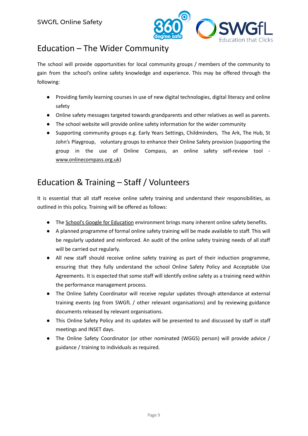

# Education – The Wider Community

The school will provide opportunities for local community groups / members of the community to gain from the school's online safety knowledge and experience. This may be offered through the following:

- Providing family learning courses in use of new digital technologies, digital literacy and online safety
- Online safety messages targeted towards grandparents and other relatives as well as parents.
- The school website will provide online safety information for the wider community
- Supporting community groups e.g. Early Years Settings, Childminders, The Ark, The Hub, St John's Playgroup, voluntary groups to enhance their Online Safety provision (supporting the group in the use of Online Compass, an online safety self-review tool [www.onlinecompass.org.uk](http://www.onlinecompass.org.uk))

# Education & Training – Staff / Volunteers

It is essential that all staff receive online safety training and understand their responsibilities, as outlined in this policy. Training will be offered as follows:

- The School's Google for [Education](https://drive.google.com/file/d/0B__OTXR_u3RbTUZybEZMdU9YaUE/view) environment brings many inherent online safety benefits.
- A planned programme of formal online safety training will be made available to staff. This will be regularly updated and reinforced. An audit of the online safety training needs of all staff will be carried out regularly.
- All new staff should receive online safety training as part of their induction programme, ensuring that they fully understand the school Online Safety Policy and Acceptable Use Agreements. It is expected that some staff will identify online safety as a training need within the performance management process.
- The Online Safety Coordinator will receive regular updates through attendance at external training events (eg from SWGfL / other relevant organisations) and by reviewing guidance documents released by relevant organisations.
- This Online Safety Policy and its updates will be presented to and discussed by staff in staff meetings and INSET days.
- The Online Safety Coordinator (or other nominated (WGGS) person) will provide advice / guidance / training to individuals as required.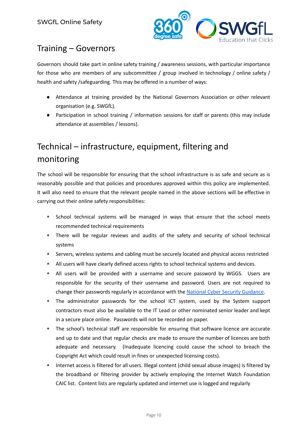

# Training – Governors

Governors should take part in online safety training / awareness sessions, with particular importance for those who are members of any subcommittee / group involved in technology / online safety / health and safety /safeguarding. This may be offered in a number of ways:

- Attendance at training provided by the National Governors Association or other relevant organisation (e.g. SWGfL).
- Participation in school training / information sessions for staff or parents (this may include attendance at assemblies / lessons).

# Technical – infrastructure, equipment, filtering and monitoring

The school will be responsible for ensuring that the school infrastructure is as safe and secure as is reasonably possible and that policies and procedures approved within this policy are implemented. It will also need to ensure that the relevant people named in the above sections will be effective in carrying out their online safety responsibilities:

- *•* School technical systems will be managed in ways that ensure that the school meets recommended technical requirements
- *•* There will be regular reviews and audits of the safety and security of school technical systems
- *•* Servers, wireless systems and cabling must be securely located and physical access restricted
- *•* All users will have clearly defined access rights to school technical systems and devices.
- *•* All users will be provided with a username and secure password by WGGS. Users are responsible for the security of their username and password. Users are not required to change their passwords regularly in accordance with the National Cyber Security [Guidance.](https://www.ncsc.gov.uk/articles/problems-forcing-regular-password-expiry)
- *•* The administrator passwords for the school ICT system, used by the System support contractors must also be available to the IT Lead or other nominated senior leader and kept in a secure place online. Passwords will not be recorded on paper.
- *•* The school's technical staff are responsible for ensuring that software licence are accurate and up to date and that regular checks are made to ensure the number of licences are both adequate and necessary. (Inadequate licencing could cause the school to breach the Copyright Act which could result in fines or unexpected licensing costs).
- *•* Internet access is filtered for all users. Illegal content (child sexual abuse images) is filtered by the broadband or filtering provider by actively employing the Internet Watch Foundation CAIC list. Content lists are regularly updated and internet use is logged and regularly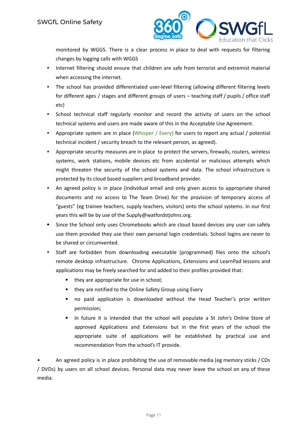

monitored by WGGS. There is a clear process in place to deal with requests for filtering changes by logging calls with WGGS

- *•* Internet filtering should ensure that children are safe from terrorist and extremist material when accessing the internet.
- *•* The school has provided differentiated user-level filtering (allowing different filtering levels for different ages / stages and different groups of users – teaching staff / pupils / office staff etc)
- *•* School technical staff regularly monitor and record the activity of users on the school technical systems and users are made aware of this in the Acceptable Use Agreement.
- *•* Appropriate system are in place (Whisper / Every) for users to report any actual / potential technical incident / security breach to the relevant person, as agreed).
- *•* Appropriate security measures are in place to protect the servers, firewalls, routers, wireless systems, work stations, mobile devices etc from accidental or malicious attempts which might threaten the security of the school systems and data. The school infrastructure is protected by its cloud based suppliers and broadband provider.
- *•* An agreed policy is in place (individual email and only given access to appropriate shared documents and no access to The Team Drive) for the provision of temporary access of "guests" (eg trainee teachers, supply teachers, visitors) onto the school systems. In our first years this will be by use of the Supply@watfordstjohns.org.
- Since the School only uses Chromebooks which are cloud based devices any user can safely use them provided they use their own personal login credentials. School logins are never to be shared or circumvented.
- *•* Staff are forbidden from downloading executable (programmed) files onto the school's remote desktop infrastructure. Chrome Applications, Extensions and LearnPad lessons and applications may be freely searched for and added to their profiles provided that:
	- *•* they are appropriate for use in school;
	- *•* they are notified to the Online Safety Group using Every
	- *•* no paid application is downloaded without the Head Teacher's prior written permission;
	- *•* In future it is intended that the school will populate a St John's Online Store of approved Applications and Extensions but in the first years of the school the appropriate suite of applications will be established by practical use and recommendation from the school's IT provide.

• An agreed policy is in place prohibiting the use of removable media (eg memory sticks / CDs / DVDs) by users on all school devices. Personal data may never leave the school on any of these media.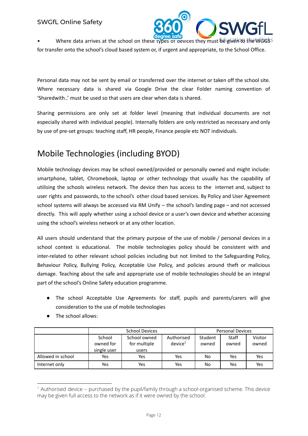

Where data arrives at the school on these types of devices they must be given to the WGGSS for transfer onto the school's cloud based system or, if urgent and appropriate, to the School Office.

Personal data may not be sent by email or transferred over the internet or taken off the school site. Where necessary data is shared via Google Drive the clear Folder naming convention of 'Sharedwith..' must be used so that users are clear when data is shared.

Sharing permissions are only set at folder level (meaning that individual documents are not especially shared with individual people). Internally folders are only restricted as necessary and only by use of pre-set groups: teaching staff, HR people, Finance people etc NOT individuals.

# Mobile Technologies (including BYOD)

Mobile technology devices may be school owned/provided or personally owned and might include: smartphone, tablet, Chromebook, laptop or other technology that usually has the capability of utilising the schools wireless network. The device then has access to the internet and, subject to user rights and passwords, to the school's other cloud based services. By Policy and User Agreement school systems will always be accessed via RM Unify – the school's landing page – and not accessed directly. This will apply whether using a school device or a user's own device and whether accessing using the school's wireless network or at any other location.

All users should understand that the primary purpose of the use of mobile / personal devices in a school context is educational. The mobile technologies policy should be consistent with and inter-related to other relevant school policies including but not limited to the Safeguarding Policy, Behaviour Policy, Bullying Policy, Acceptable Use Policy, and policies around theft or malicious damage. Teaching about the safe and appropriate use of mobile technologies should be an integral part of the school's Online Safety education programme.

- **●** The school Acceptable Use Agreements for staff, pupils and parents/carers will give consideration to the use of mobile technologies
- The school allows:

|                   |                                    | <b>School Devices</b>                 | <b>Personal Devices</b>           |                  |                |                  |
|-------------------|------------------------------------|---------------------------------------|-----------------------------------|------------------|----------------|------------------|
|                   | School<br>owned for<br>single user | School owned<br>for multiple<br>users | Authorised<br>device <sup>1</sup> | Student<br>owned | Staff<br>owned | Visitor<br>owned |
| Allowed in school | Yes                                | Yes                                   | Yes                               | No               | Yes            | Yes              |
| Internet only     | Yes                                | Yes                                   | Yes                               | No               | Yes            | Yes              |

 $1$  Authorised device – purchased by the pupil/family through a school-organised scheme. This device may be given full access to the network as if it were owned by the school.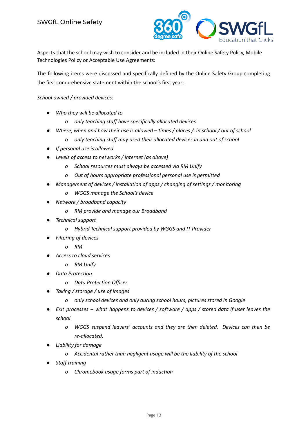

Aspects that the school may wish to consider and be included in their Online Safety Policy, Mobile Technologies Policy or Acceptable Use Agreements:

The following items were discussed and specifically defined by the Online Safety Group completing the first comprehensive statement within the school's first year:

#### *School owned / provided devices:*

- *● Who they will be allocated to*
	- *o only teaching staff have specifically allocated devices*
- Where, when and how their use is allowed  $-$  times  $/$  places  $/$  in school  $/$  out of school
	- *o only teaching staff may used their allocated devices in and out of school*
- *● If personal use is allowed*
- *● Levels of access to networks / internet (as above)*
	- *o School resources must always be accessed via RM Unify*
	- *o Out of hours appropriate professional personal use is permitted*
- *● Management of devices / installation of apps / changing of settings / monitoring*
	- *o WGGS manage the School's device*
- *● Network / broadband capacity*
	- *o RM provide and manage our Broadband*
- *● Technical support*
	- *o Hybrid Technical support provided by WGGS and IT Provider*
- *● Filtering of devices*
	- *o RM*
- *● Access to cloud services*
	- *o RM Unify*
- *● Data Protection*
	- *o Data Protection Officer*
- *● Taking / storage / use of images*
	- *o only school devices and only during school hours, pictures stored in Google*
- Exit processes what happens to devices / software / apps / stored data if user leaves the *school*
	- *o WGGS suspend leavers' accounts and they are then deleted. Devices can then be re-allocated.*
- *● Liability for damage*
	- *o Accidental rather than negligent usage will be the liability of the school*
- *Staff training*
	- *o Chromebook usage forms part of induction*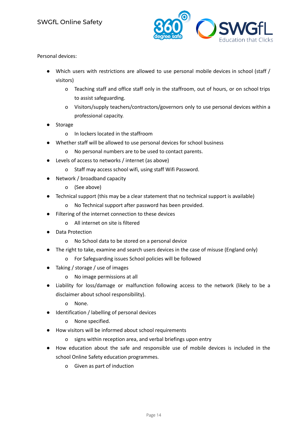

Personal devices:

- Which users with restrictions are allowed to use personal mobile devices in school (staff / visitors)
	- o Teaching staff and office staff only in the staffroom, out of hours, or on school trips to assist safeguarding.
	- o Visitors/supply teachers/contractors/governors only to use personal devices within a professional capacity.
- **Storage** 
	- o In lockers located in the staffroom
- Whether staff will be allowed to use personal devices for school business
	- o No personal numbers are to be used to contact parents.
- Levels of access to networks / internet (as above)
	- o Staff may access school wifi, using staff Wifi Password.
- Network / broadband capacity
	- o (See above)
- Technical support (this may be a clear statement that no technical support is available)
	- o No Technical support after password has been provided.
- Filtering of the internet connection to these devices
	- o All internet on site is filtered
- **Data Protection** 
	- o No School data to be stored on a personal device
- The right to take, examine and search users devices in the case of misuse (England only)
	- o For Safeguarding issues School policies will be followed
- Taking / storage / use of images
	- o No image permissions at all
- Liability for loss/damage or malfunction following access to the network (likely to be a disclaimer about school responsibility).
	- o None.
- Identification / labelling of personal devices
	- o None specified.
- How visitors will be informed about school requirements
	- o signs within reception area, and verbal briefings upon entry
- How education about the safe and responsible use of mobile devices is included in the school Online Safety education programmes.
	- o Given as part of induction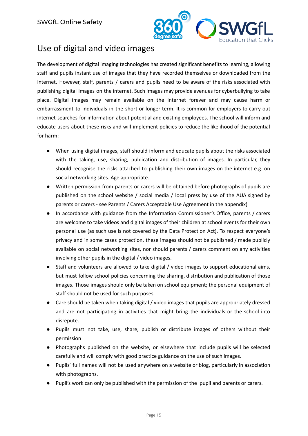

### Use of digital and video images

The development of digital imaging technologies has created significant benefits to learning, allowing staff and pupils instant use of images that they have recorded themselves or downloaded from the internet. However, staff, parents / carers and pupils need to be aware of the risks associated with publishing digital images on the internet. Such images may provide avenues for cyberbullying to take place. Digital images may remain available on the internet forever and may cause harm or embarrassment to individuals in the short or longer term. It is common for employers to carry out internet searches for information about potential and existing employees. The school will inform and educate users about these risks and will implement policies to reduce the likelihood of the potential for harm:

- When using digital images, staff should inform and educate pupils about the risks associated with the taking, use, sharing, publication and distribution of images. In particular, they should recognise the risks attached to publishing their own images on the internet e.g. on social networking sites. Age appropriate.
- Written permission from parents or carers will be obtained before photographs of pupils are published on the school website / social media / local press by use of the AUA signed by parents or carers - see Parents / Carers Acceptable Use Agreement in the appendix)
- In accordance with guidance from the Information Commissioner's Office, parents / carers are welcome to take videos and digital images of their children at school events for their own personal use (as such use is not covered by the Data Protection Act). To respect everyone's privacy and in some cases protection, these images should not be published / made publicly available on social networking sites, nor should parents / carers comment on any activities involving other pupils in the digital / video images.
- Staff and volunteers are allowed to take digital / video images to support educational aims, but must follow school policies concerning the sharing, distribution and publication of those images. Those images should only be taken on school equipment; the personal equipment of staff should not be used for such purposes.
- Care should be taken when taking digital / video images that pupils are appropriately dressed and are not participating in activities that might bring the individuals or the school into disrepute.
- Pupils must not take, use, share, publish or distribute images of others without their permission
- Photographs published on the website, or elsewhere that include pupils will be selected carefully and will comply with good practice guidance on the use of such images.
- Pupils' full names will not be used anywhere on a website or blog, particularly in association with photographs.
- Pupil's work can only be published with the permission of the pupil and parents or carers.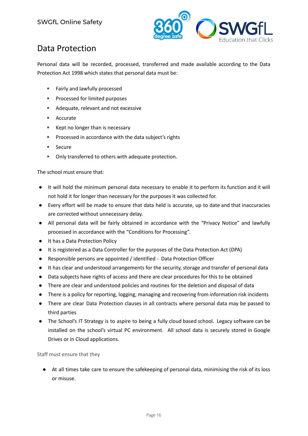

# Data Protection

Personal data will be recorded, processed, transferred and made available according to the Data Protection Act 1998 which states that personal data must be:

- *•* Fairly and lawfully processed
- *•* Processed for limited purposes
- *•* Adequate, relevant and not excessive
- *•* Accurate
- *•* Kept no longer than is necessary
- *•* Processed in accordance with the data subject's rights
- *•* Secure
- *•* Only transferred to others with adequate protection.

#### The school must ensure that:

- It will hold the minimum personal data necessary to enable it to perform its function and it will not hold it for longer than necessary for the purposes it was collected for.
- Every effort will be made to ensure that data held is accurate, up to date and that inaccuracies are corrected without unnecessary delay.
- All personal data will be fairly obtained in accordance with the "Privacy Notice" and lawfully processed in accordance with the "Conditions for Processing".
- It has a Data Protection Policy
- It is registered as a Data Controller for the purposes of the Data Protection Act (DPA)
- Responsible persons are appointed / identified Data Protection Officer
- It has clear and understood arrangements for the security, storage and transfer of personal data
- Data subjects have rights of access and there are clear procedures for this to be obtained
- There are clear and understood policies and routines for the deletion and disposal of data
- There is a policy for reporting, logging, managing and recovering from information risk incidents
- There are clear Data Protection clauses in all contracts where personal data may be passed to third parties
- The School's IT Strategy is to aspire to being a fully cloud based school. Legacy software can be installed on the school's virtual PC environment. All school data is securely stored in Google Drives or in Cloud applications.

Staff must ensure that they

● At all times take care to ensure the safekeeping of personal data, minimising the risk of its loss or misuse.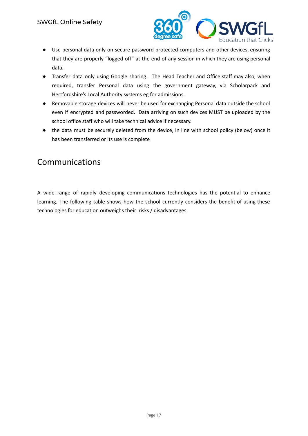

- Use personal data only on secure password protected computers and other devices, ensuring that they are properly "logged-off" at the end of any session in which they are using personal data.
- **●** Transfer data only using Google sharing. The Head Teacher and Office staff may also, when required, transfer Personal data using the government gateway, via Scholarpack and Hertfordshire's Local Authority systems eg for admissions.
- **●** Removable storage devices will never be used for exchanging Personal data outside the school even if encrypted and passworded. Data arriving on such devices MUST be uploaded by the school office staff who will take technical advice if necessary.
- the data must be securely deleted from the device, in line with school policy (below) once it has been transferred or its use is complete

# Communications

A wide range of rapidly developing communications technologies has the potential to enhance learning. The following table shows how the school currently considers the benefit of using these technologies for education outweighs their risks / disadvantages: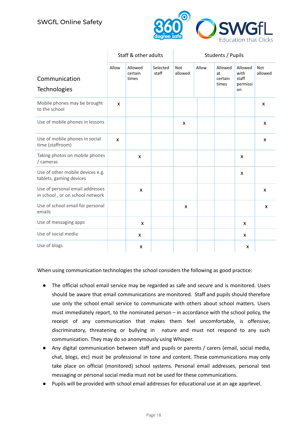

|                                                                    |              | Staff & other adults        |                   | Students / Pupils     |       |                                   |                                            |                       |
|--------------------------------------------------------------------|--------------|-----------------------------|-------------------|-----------------------|-------|-----------------------------------|--------------------------------------------|-----------------------|
| Communication<br><b>Technologies</b>                               | Allow        | Allowed<br>certain<br>times | Selected<br>staff | <b>Not</b><br>allowed | Allow | Allowed<br>at<br>certain<br>times | Allowed<br>with<br>staff<br>permissi<br>on | <b>Not</b><br>allowed |
| Mobile phones may be brought<br>to the school                      | X            |                             |                   |                       |       |                                   |                                            | X                     |
| Use of mobile phones in lessons                                    |              |                             |                   | X                     |       |                                   |                                            | X                     |
| Use of mobile phones in social<br>time (staffroom)                 | $\mathsf{x}$ |                             |                   |                       |       |                                   |                                            | X                     |
| Taking photos on mobile phones<br>/ cameras                        |              | $\mathsf{x}$                |                   |                       |       |                                   | $\boldsymbol{\mathsf{x}}$                  |                       |
| Use of other mobile devices e.g.<br>tablets, gaming devices        |              |                             |                   |                       |       |                                   | X                                          |                       |
| Use of personal email addresses<br>in school, or on school network |              | X                           |                   |                       |       |                                   |                                            | X                     |
| Use of school email for personal<br>emails                         |              |                             |                   | X                     |       |                                   |                                            | X                     |
| Use of messaging apps                                              |              | X                           |                   |                       |       |                                   | X                                          |                       |
| Use of social media                                                |              | X                           |                   |                       |       |                                   | X                                          |                       |
| Use of blogs                                                       |              | X                           |                   |                       |       |                                   | X                                          |                       |

When using communication technologies the school considers the following as good practice:

- The official school email service may be regarded as safe and secure and is monitored. Users should be aware that email communications are monitored. Staff and pupils should therefore use only the school email service to communicate with others about school matters. Users must immediately report, to the nominated person – in accordance with the school policy, the receipt of any communication that makes them feel uncomfortable, is offensive, discriminatory, threatening or bullying in nature and must not respond to any such communication. They may do so anonymously using Whisper.
- Any digital communication between staff and pupils or parents / carers (email, social media, chat, blogs, etc) must be professional in tone and content. These communications may only take place on official (monitored) school systems. Personal email addresses, personal text messaging or personal social media must not be used for these communications.
- Pupils will be provided with school email addresses for educational use at an age apprlevel.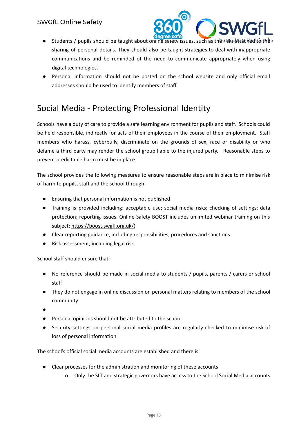

- **•** Students / pupils should be taught about online safety issues, such as the risks attached to the  $S$ sharing of personal details. They should also be taught strategies to deal with inappropriate communications and be reminded of the need to communicate appropriately when using digital technologies.
- Personal information should not be posted on the school website and only official email addresses should be used to identify members of staff.

# Social Media - Protecting Professional Identity

Schools have a duty of care to provide a safe learning environment for pupils and staff. Schools could be held responsible, indirectly for acts of their employees in the course of their employment. Staff members who harass, cyberbully, discriminate on the grounds of sex, race or disability or who defame a third party may render the school group liable to the injured party. Reasonable steps to prevent predictable harm must be in place.

The school provides the following measures to ensure reasonable steps are in place to minimise risk of harm to pupils, staff and the school through:

- Ensuring that personal information is not published
- Training is provided including: acceptable use; social media risks; checking of settings; data protection; reporting issues. Online Safety BOOST includes unlimited webinar training on this subject: [https://boost.swgfl.org.uk/\)](https://boost.swgfl.org.uk/)
- Clear reporting guidance, including responsibilities, procedures and sanctions
- Risk assessment, including legal risk

School staff should ensure that:

- No reference should be made in social media to students / pupils, parents / carers or school staff
- They do not engage in online discussion on personal matters relating to members of the school community
- ●
- Personal opinions should not be attributed to the school
- Security settings on personal social media profiles are regularly checked to minimise risk of loss of personal information

The school's official social media accounts are established and there is:

- Clear processes for the administration and monitoring of these accounts
	- o Only the SLT and strategic governors have access to the School Social Media accounts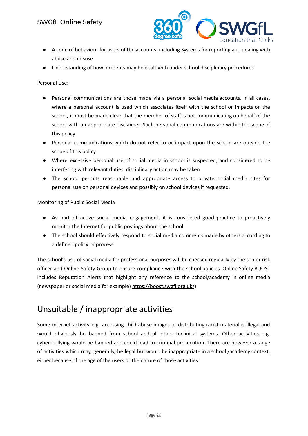

- A code of behaviour for users of the accounts, including Systems for reporting and dealing with abuse and misuse
- Understanding of how incidents may be dealt with under school disciplinary procedures

Personal Use:

- Personal communications are those made via a personal social media accounts. In all cases, where a personal account is used which associates itself with the school or impacts on the school, it must be made clear that the member of staff is not communicating on behalf of the school with an appropriate disclaimer. Such personal communications are within the scope of this policy
- Personal communications which do not refer to or impact upon the school are outside the scope of this policy
- Where excessive personal use of social media in school is suspected, and considered to be interfering with relevant duties, disciplinary action may be taken
- The school permits reasonable and appropriate access to private social media sites for personal use on personal devices and possibly on school devices if requested.

Monitoring of Public Social Media

- As part of active social media engagement, it is considered good practice to proactively monitor the Internet for public postings about the school
- The school should effectively respond to social media comments made by others according to a defined policy or process

The school's use of social media for professional purposes will be checked regularly by the senior risk officer and Online Safety Group to ensure compliance with the school policies. Online Safety BOOST includes Reputation Alerts that highlight any reference to the school/academy in online media (newspaper or social media for example) <https://boost.swgfl.org.uk/>)

# Unsuitable / inappropriate activities

Some internet activity e.g. accessing child abuse images or distributing racist material is illegal and would obviously be banned from school and all other technical systems. Other activities e.g. cyber-bullying would be banned and could lead to criminal prosecution. There are however a range of activities which may, generally, be legal but would be inappropriate in a school /academy context, either because of the age of the users or the nature of those activities.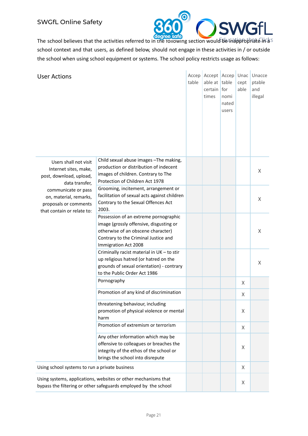

The school believes that the activities referred to in the following section would be inappropriate likes school context and that users, as defined below, should not engage in these activities in / or outside the school when using school equipment or systems. The school policy restricts usage as follows:

| <b>User Actions</b>                                                                                  |                                                                                                                                                                                        | table | Accep   Accept   Accep   Unac<br>able at table<br>certain<br>times | for<br>nomi<br>nated<br>users | cept<br>able | Unacce<br>ptable<br>and<br>illegal |
|------------------------------------------------------------------------------------------------------|----------------------------------------------------------------------------------------------------------------------------------------------------------------------------------------|-------|--------------------------------------------------------------------|-------------------------------|--------------|------------------------------------|
| Users shall not visit<br>Internet sites, make,<br>post, download, upload,<br>data transfer,          | Child sexual abuse images - The making,<br>production or distribution of indecent<br>images of children. Contrary to The<br>Protection of Children Act 1978                            |       |                                                                    |                               |              | X                                  |
| communicate or pass<br>on, material, remarks,<br>proposals or comments<br>that contain or relate to: | Grooming, incitement, arrangement or<br>facilitation of sexual acts against children<br>Contrary to the Sexual Offences Act<br>2003.                                                   |       |                                                                    |                               |              | X                                  |
|                                                                                                      | Possession of an extreme pornographic<br>image (grossly offensive, disgusting or<br>otherwise of an obscene character)<br>Contrary to the Criminal Justice and<br>Immigration Act 2008 |       |                                                                    |                               |              | X                                  |
|                                                                                                      | Criminally racist material in UK - to stir<br>up religious hatred (or hatred on the<br>grounds of sexual orientation) - contrary<br>to the Public Order Act 1986                       |       |                                                                    |                               |              | X                                  |
|                                                                                                      | Pornography                                                                                                                                                                            |       |                                                                    |                               | X            |                                    |
|                                                                                                      | Promotion of any kind of discrimination                                                                                                                                                |       |                                                                    |                               | X            |                                    |
|                                                                                                      | threatening behaviour, including<br>promotion of physical violence or mental<br>harm                                                                                                   |       |                                                                    |                               | X            |                                    |
|                                                                                                      | Promotion of extremism or terrorism                                                                                                                                                    |       |                                                                    |                               | X            |                                    |
|                                                                                                      | Any other information which may be<br>offensive to colleagues or breaches the<br>integrity of the ethos of the school or<br>brings the school into disrepute                           |       |                                                                    |                               | X            |                                    |
| Using school systems to run a private business                                                       |                                                                                                                                                                                        |       |                                                                    |                               | X            |                                    |
|                                                                                                      | Using systems, applications, websites or other mechanisms that<br>bypass the filtering or other safeguards employed by the school                                                      |       |                                                                    |                               | X            |                                    |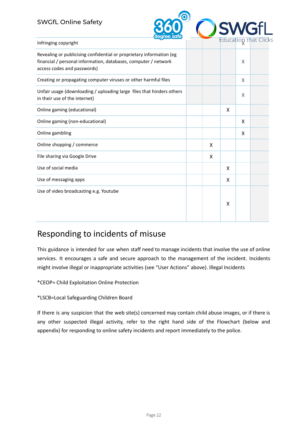#### SWGfL Online Safety



| Infringing copyright                                                                                                                                                   |   |   |   | Faucation client |
|------------------------------------------------------------------------------------------------------------------------------------------------------------------------|---|---|---|------------------|
| Revealing or publicising confidential or proprietary information (eg<br>financial / personal information, databases, computer / network<br>access codes and passwords) |   |   | X |                  |
| Creating or propagating computer viruses or other harmful files                                                                                                        |   |   | X |                  |
| Unfair usage (downloading / uploading large files that hinders others<br>in their use of the internet)                                                                 |   |   | X |                  |
| Online gaming (educational)                                                                                                                                            |   | X |   |                  |
| Online gaming (non-educational)                                                                                                                                        |   |   | X |                  |
| Online gambling                                                                                                                                                        |   |   | X |                  |
| Online shopping / commerce                                                                                                                                             | X |   |   |                  |
| File sharing via Google Drive                                                                                                                                          | X |   |   |                  |
| Use of social media                                                                                                                                                    |   | X |   |                  |
| Use of messaging apps                                                                                                                                                  |   | X |   |                  |
| Use of video broadcasting e.g. Youtube                                                                                                                                 |   | X |   |                  |

#### Responding to incidents of misuse

This guidance is intended for use when staff need to manage incidents that involve the use of online services. It encourages a safe and secure approach to the management of the incident. Incidents might involve illegal or inappropriate activities (see "User Actions" above). Illegal Incidents

\*CEOP= Child Exploitation Online Protection

\*LSCB=Local Safeguarding Children Board

If there is any suspicion that the web site(s) concerned may contain child abuse images, or if there is any other suspected illegal activity, refer to the right hand side of the Flowchart (below and appendix) for responding to online safety incidents and report immediately to the police.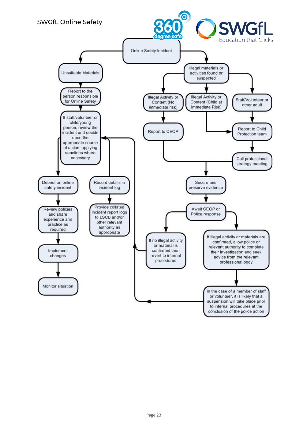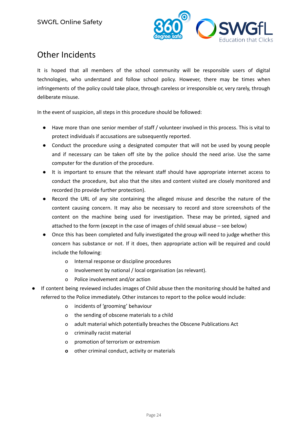

# Other Incidents

It is hoped that all members of the school community will be responsible users of digital technologies, who understand and follow school policy. However, there may be times when infringements of the policy could take place, through careless or irresponsible or, very rarely, through deliberate misuse.

In the event of suspicion, all steps in this procedure should be followed:

- Have more than one senior member of staff / volunteer involved in this process. This is vital to protect individuals if accusations are subsequently reported.
- Conduct the procedure using a designated computer that will not be used by young people and if necessary can be taken off site by the police should the need arise. Use the same computer for the duration of the procedure.
- It is important to ensure that the relevant staff should have appropriate internet access to conduct the procedure, but also that the sites and content visited are closely monitored and recorded (to provide further protection).
- Record the URL of any site containing the alleged misuse and describe the nature of the content causing concern. It may also be necessary to record and store screenshots of the content on the machine being used for investigation. These may be printed, signed and attached to the form (except in the case of images of child sexual abuse – see below)
- Once this has been completed and fully investigated the group will need to judge whether this concern has substance or not. If it does, then appropriate action will be required and could include the following:
	- o Internal response or discipline procedures
	- o Involvement by national / local organisation (as relevant).
	- o Police involvement and/or action
- If content being reviewed includes images of Child abuse then the monitoring should be halted and referred to the Police immediately. Other instances to report to the police would include:
	- o incidents of 'grooming' behaviour
	- o the sending of obscene materials to a child
	- o adult material which potentially breaches the Obscene Publications Act
	- o criminally racist material
	- o promotion of terrorism or extremism
	- **o** other criminal conduct, activity or materials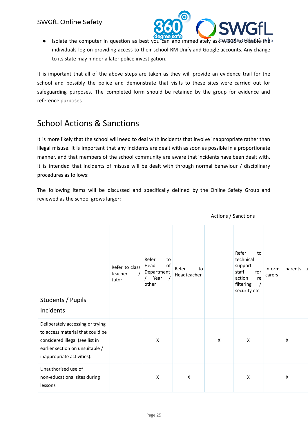

Actions / Sanctions

. Isolate the computer in question as best you can and immediately ask WGGS to disable thes individuals log on providing access to their school RM Unify and Google accounts. Any change to its state may hinder a later police investigation.

It is important that all of the above steps are taken as they will provide an evidence trail for the school and possibly the police and demonstrate that visits to these sites were carried out for safeguarding purposes. The completed form should be retained by the group for evidence and reference purposes.

# School Actions & Sanctions

It is more likely that the school will need to deal with incidents that involve inappropriate rather than illegal misuse. It is important that any incidents are dealt with as soon as possible in a proportionate manner, and that members of the school community are aware that incidents have been dealt with. It is intended that incidents of misuse will be dealt with through normal behaviour / disciplinary procedures as follows:

The following items will be discussed and specifically defined by the Online Safety Group and reviewed as the school grows larger:

| Students / Pupils<br>Incidents                                                                                                                                           | Refer to class<br>teacher<br>tutor | Refer<br>to<br>of<br>Head<br>Department<br>Year<br>other | Refer<br>to<br>Headteacher |   | Refer<br>to<br>technical<br>support<br>staff<br>for<br>action<br>re<br>filtering<br>security etc. | Inform<br>parents<br>carers |
|--------------------------------------------------------------------------------------------------------------------------------------------------------------------------|------------------------------------|----------------------------------------------------------|----------------------------|---|---------------------------------------------------------------------------------------------------|-----------------------------|
| Deliberately accessing or trying<br>to access material that could be<br>considered illegal (see list in<br>earlier section on unsuitable /<br>inappropriate activities). |                                    | X                                                        |                            | X | X                                                                                                 | X                           |
| Unauthorised use of<br>non-educational sites during<br>lessons                                                                                                           |                                    | X                                                        | $\boldsymbol{\mathsf{X}}$  |   | X                                                                                                 | X                           |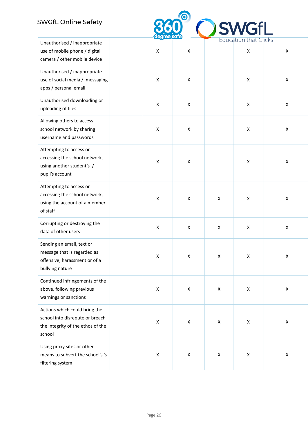#### SWGfL Online Safety



| Unauthorised / inappropriate                                                                                    |                |                    |                    | Education that Clicks |                    |
|-----------------------------------------------------------------------------------------------------------------|----------------|--------------------|--------------------|-----------------------|--------------------|
| use of mobile phone / digital<br>camera / other mobile device                                                   | X              | $\pmb{\mathsf{X}}$ |                    | $\pmb{\mathsf{X}}$    | Χ                  |
| Unauthorised / inappropriate<br>use of social media / messaging<br>apps / personal email                        | X              | X                  |                    | $\mathsf X$           | X                  |
| Unauthorised downloading or<br>uploading of files                                                               | X              | X                  |                    | $\pmb{\mathsf{X}}$    | X                  |
| Allowing others to access<br>school network by sharing<br>username and passwords                                | X              | X                  |                    | X                     | X                  |
| Attempting to access or<br>accessing the school network,<br>using another student's /<br>pupil's account        | X              | X                  |                    | $\mathsf X$           | X                  |
| Attempting to access or<br>accessing the school network,<br>using the account of a member<br>of staff           | X              | X                  | Χ                  | $\pmb{\mathsf{X}}$    | X                  |
| Corrupting or destroying the<br>data of other users                                                             | $\pmb{\times}$ | X                  | Χ                  | X                     | Χ                  |
| Sending an email, text or<br>message that is regarded as<br>offensive, harassment or of a<br>bullying nature    | X              | X                  | $\pmb{\mathsf{X}}$ | $\pmb{\mathsf{X}}$    | $\pmb{\mathsf{X}}$ |
| Continued infringements of the<br>above, following previous<br>warnings or sanctions                            | X              | X                  | Χ                  | $\pmb{\mathsf{X}}$    | X                  |
| Actions which could bring the<br>school into disrepute or breach<br>the integrity of the ethos of the<br>school | X              | X                  | Χ                  | X                     | $\pmb{\mathsf{X}}$ |
| Using proxy sites or other<br>means to subvert the school's 's<br>filtering system                              | X              | X                  | Χ                  | $\mathsf X$           | $\pmb{\mathsf{X}}$ |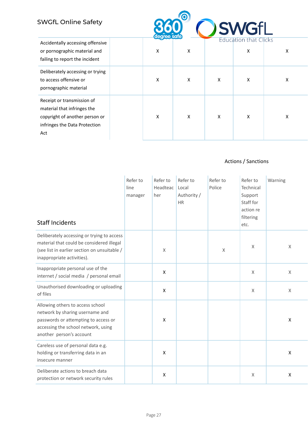

| Accidentally accessing offensive<br>or pornographic material and<br>failing to report the incident                                  | ∼<br>X | Χ |   | Education that Clicks<br>X | Χ |
|-------------------------------------------------------------------------------------------------------------------------------------|--------|---|---|----------------------------|---|
| Deliberately accessing or trying<br>to access offensive or<br>pornographic material                                                 | X      | X | X | X                          | Χ |
| Receipt or transmission of<br>material that infringes the<br>copyright of another person or<br>infringes the Data Protection<br>Act | X      | x | X | X                          | Χ |

#### Actions / Sanctions

| <b>Staff Incidents</b>                                                                                                                                                         | Refer to<br>line<br>manager | Refer to<br>Headteac<br>her | Refer to<br>Local<br>Authority /<br><b>HR</b> | Refer to<br>Police | Refer to<br>Technical<br>Support<br>Staff for<br>action re<br>filtering<br>etc. | Warning            |
|--------------------------------------------------------------------------------------------------------------------------------------------------------------------------------|-----------------------------|-----------------------------|-----------------------------------------------|--------------------|---------------------------------------------------------------------------------|--------------------|
| Deliberately accessing or trying to access<br>material that could be considered illegal<br>(see list in earlier section on unsuitable /<br>inappropriate activities).          |                             | X                           |                                               | X                  | X                                                                               | X                  |
| Inappropriate personal use of the<br>internet / social media / personal email                                                                                                  |                             | $\pmb{\mathsf{X}}$          |                                               |                    | $\mathsf X$                                                                     | $\sf X$            |
| Unauthorised downloading or uploading<br>of files                                                                                                                              |                             | X                           |                                               |                    | X                                                                               | X                  |
| Allowing others to access school<br>network by sharing username and<br>passwords or attempting to access or<br>accessing the school network, using<br>another person's account |                             | X                           |                                               |                    |                                                                                 | $\pmb{\mathsf{X}}$ |
| Careless use of personal data e.g.<br>holding or transferring data in an<br>insecure manner                                                                                    |                             | X                           |                                               |                    |                                                                                 | $\pmb{\mathsf{X}}$ |
| Deliberate actions to breach data<br>protection or network security rules                                                                                                      |                             | X                           |                                               |                    | X                                                                               | X                  |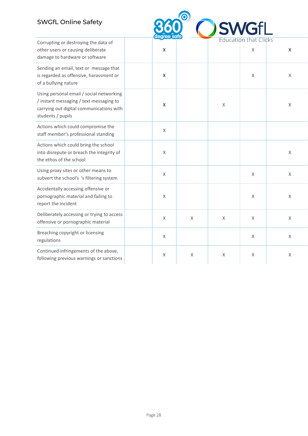#### SWGfL Online Safety



| Corrupting or destroying the data of                                                                                                                 |                    |              |             | EQUEQUOIT LITUL CITERS |                |
|------------------------------------------------------------------------------------------------------------------------------------------------------|--------------------|--------------|-------------|------------------------|----------------|
| other users or causing deliberate<br>damage to hardware or software                                                                                  | $\mathsf{x}$       |              |             | X                      | $\pmb{\times}$ |
| Sending an email, text or message that<br>is regarded as offensive, harassment or<br>of a bullying nature                                            | $\pmb{\mathsf{X}}$ |              |             | X                      | X              |
| Using personal email / social networking<br>/ instant messaging / text messaging to<br>carrying out digital communications with<br>students / pupils | $\pmb{\mathsf{X}}$ |              | X           |                        | $\mathsf X$    |
| Actions which could compromise the<br>staff member's professional standing                                                                           | $\mathsf X$        |              |             |                        |                |
| Actions which could bring the school<br>into disrepute or breach the integrity of<br>the ethos of the school                                         | X                  |              |             |                        | $\mathsf X$    |
| Using proxy sites or other means to<br>subvert the school's 's filtering system                                                                      | X                  |              |             | X                      | $\mathsf X$    |
| Accidentally accessing offensive or<br>pornographic material and failing to<br>report the incident                                                   | $\mathsf X$        |              |             | X                      | X              |
| Deliberately accessing or trying to access<br>offensive or pornographic material                                                                     | $\mathsf X$        | $\mathsf{X}$ | $\mathsf X$ | X                      | $\mathsf{X}$   |
| Breaching copyright or licensing<br>regulations                                                                                                      | $\mathsf X$        |              |             | $\mathsf X$            | $\mathsf X$    |
| Continued infringements of the above,<br>following previous warnings or sanctions                                                                    | X                  | X            | X           | X                      | X              |